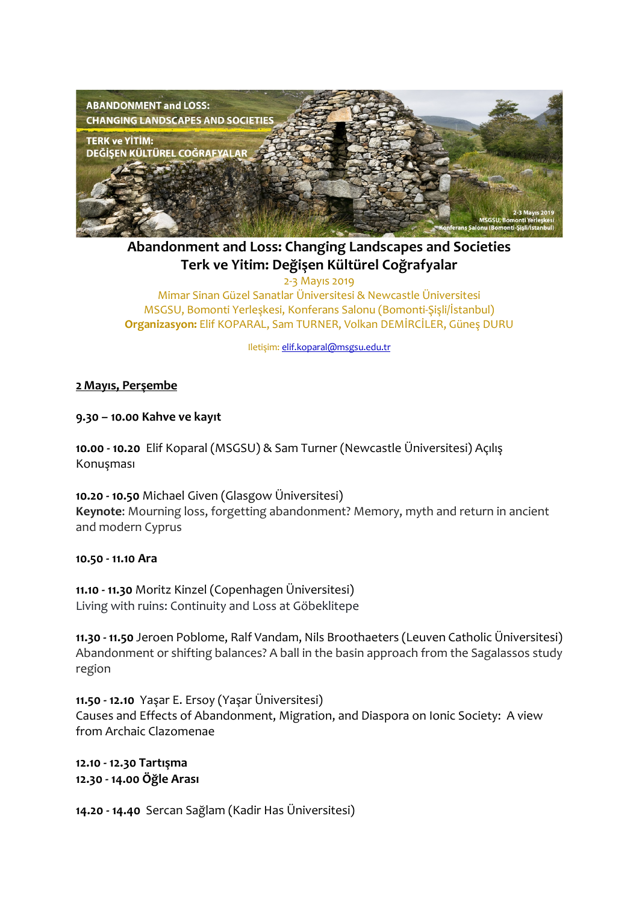

**Abandonment and Loss: Changing Landscapes and Societies Terk ve Yitim: Değişen Kültürel Coğrafyalar**

2-3 Mayıs 2019 Mimar Sinan Güzel Sanatlar Üniversitesi & Newcastle Üniversitesi MSGSU, Bomonti Yerleşkesi, Konferans Salonu (Bomonti-Şişli/İstanbul) **Organizasyon:** Elif KOPARAL, Sam TURNER, Volkan DEMİRCİLER, Güneş DURU

Iletişim: elif.koparal@msgsu.edu.tr

#### **2 Mayıs, Perşembe**

**9.30 – 10.00 Kahve ve kayıt**

**10.00 - 10.20** Elif Koparal (MSGSU) & Sam Turner (Newcastle Üniversitesi) Açılış Konuşması

**10.20 - 10.50** Michael Given (Glasgow Üniversitesi) **Keynote**: Mourning loss, forgetting abandonment? Memory, myth and return in ancient and modern Cyprus

#### **10.50 - 11.10 Ara**

**11.10 - 11.30** Moritz Kinzel (Copenhagen Üniversitesi) Living with ruins: Continuity and Loss at Göbeklitepe

**11.30 - 11.50** Jeroen Poblome, Ralf Vandam, Nils Broothaeters (Leuven Catholic Üniversitesi) Abandonment or shifting balances? A ball in the basin approach from the Sagalassos study region

**11.50 - 12.10** Yaşar E. Ersoy (Yaşar Üniversitesi) Causes and Effects of Abandonment, Migration, and Diaspora on Ionic Society: A view from Archaic Clazomenae

**12.10 - 12.30 Tartışma 12.30 - 14.00 Öğle Arası**

**14.20 - 14.40** Sercan Sağlam (Kadir Has Üniversitesi)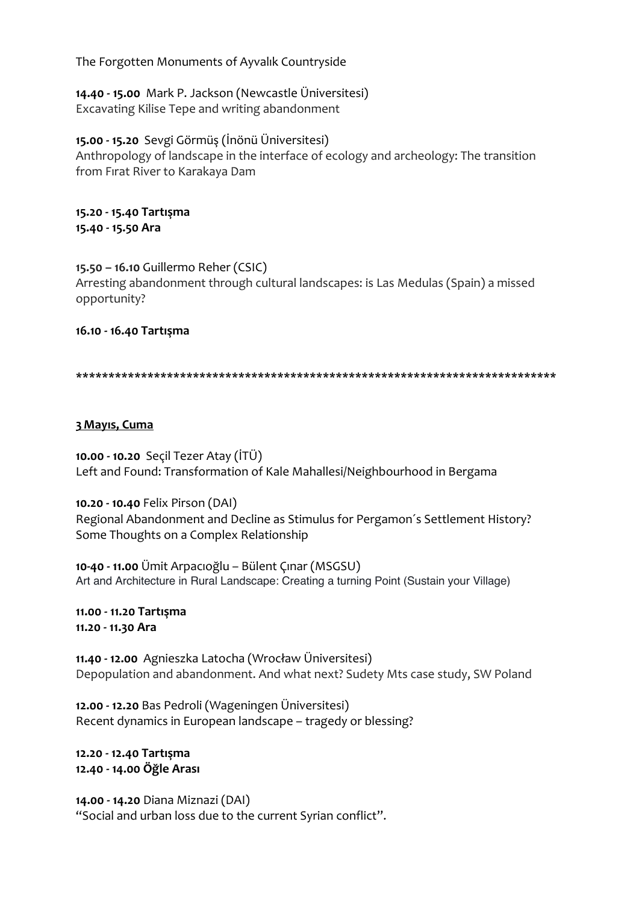The Forgotten Monuments of Ayvalık Countryside

**14.40 - 15.00** Mark P. Jackson (Newcastle Üniversitesi) Excavating Kilise Tepe and writing abandonment

**15.00 - 15.20** Sevgi Görmüş (İnönü Üniversitesi) Anthropology of landscape in the interface of ecology and archeology: The transition from Fırat River to Karakaya Dam

**15.20 - 15.40 Tartışma 15.40 - 15.50 Ara**

**15.50 – 16.10** Guillermo Reher (CSIC) Arresting abandonment through cultural landscapes: is Las Medulas (Spain) a missed opportunity?

**16.10 - 16.40 Tartışma**

**\*\*\*\*\*\*\*\*\*\*\*\*\*\*\*\*\*\*\*\*\*\*\*\*\*\*\*\*\*\*\*\*\*\*\*\*\*\*\*\*\*\*\*\*\*\*\*\*\*\*\*\*\*\*\*\*\*\*\*\*\*\*\*\*\*\*\*\*\*\*\*\*\*\***

### **3 Mayıs, Cuma**

**10.00 - 10.20** Seçil Tezer Atay (İTÜ) Left and Found: Transformation of Kale Mahallesi/Neighbourhood in Bergama

**10.20 - 10.40** Felix Pirson (DAI)

Regional Abandonment and Decline as Stimulus for Pergamon´s Settlement History? Some Thoughts on a Complex Relationship

**10-40 - 11.00** Ümit Arpacıoğlu – Bülent Çınar (MSGSU) Art and Architecture in Rural Landscape: Creating a turning Point (Sustain your Village)

**11.00 - 11.20 Tartışma 11.20 - 11.30 Ara**

**11.40 - 12.00** Agnieszka Latocha (Wrocław Üniversitesi) Depopulation and abandonment. And what next? Sudety Mts case study, SW Poland

**12.00 - 12.20** Bas Pedroli (Wageningen Üniversitesi) Recent dynamics in European landscape – tragedy or blessing?

**12.20 - 12.40 Tartışma 12.40 - 14.00 Öğle Arası**

**14.00 - 14.20** Diana Miznazi (DAI) "Social and urban loss due to the current Syrian conflict".